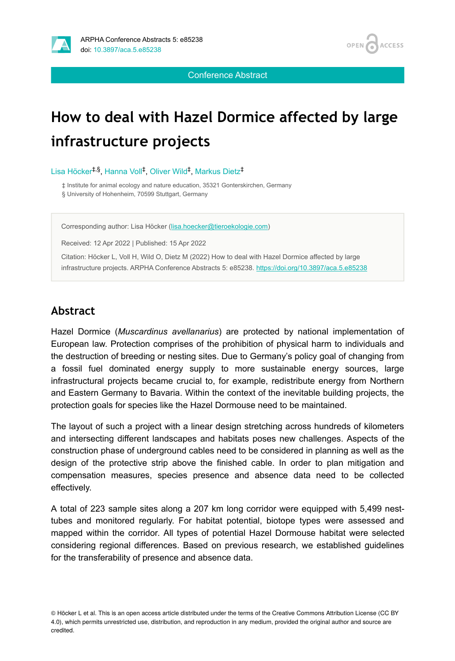



Conference Abstract

# **How to deal with Hazel Dormice affected by large infrastructure projects**

Lisa Höcker<sup>‡,§</sup>, Hanna Voll<sup>‡</sup>, Oliver Wild<sup>‡</sup>, Markus Dietz<sup>‡</sup>

‡ Institute for animal ecology and nature education, 35321 Gonterskirchen, Germany § University of Hohenheim, 70599 Stuttgart, Germany

Corresponding author: Lisa Höcker ([lisa.hoecker@tieroekologie.com](mailto:lisa.hoecker@tieroekologie.com))

Received: 12 Apr 2022 | Published: 15 Apr 2022

Citation: Höcker L, Voll H, Wild O, Dietz M (2022) How to deal with Hazel Dormice affected by large infrastructure projects. ARPHA Conference Abstracts 5: e85238.<https://doi.org/10.3897/aca.5.e85238>

## **Abstract**

Hazel Dormice (*Muscardinus avellanarius*) are protected by national implementation of European law. Protection comprises of the prohibition of physical harm to individuals and the destruction of breeding or nesting sites. Due to Germany's policy goal of changing from a fossil fuel dominated energy supply to more sustainable energy sources, large infrastructural projects became crucial to, for example, redistribute energy from Northern and Eastern Germany to Bavaria. Within the context of the inevitable building projects, the protection goals for species like the Hazel Dormouse need to be maintained.

The layout of such a project with a linear design stretching across hundreds of kilometers and intersecting different landscapes and habitats poses new challenges. Aspects of the construction phase of underground cables need to be considered in planning as well as the design of the protective strip above the finished cable. In order to plan mitigation and compensation measures, species presence and absence data need to be collected effectively.

A total of 223 sample sites along a 207 km long corridor were equipped with 5,499 nesttubes and monitored regularly. For habitat potential, biotope types were assessed and mapped within the corridor. All types of potential Hazel Dormouse habitat were selected considering regional differences. Based on previous research, we established guidelines for the transferability of presence and absence data.

<sup>©</sup> Höcker L et al. This is an open access article distributed under the terms of the Creative Commons Attribution License (CC BY 4.0), which permits unrestricted use, distribution, and reproduction in any medium, provided the original author and source are credited.